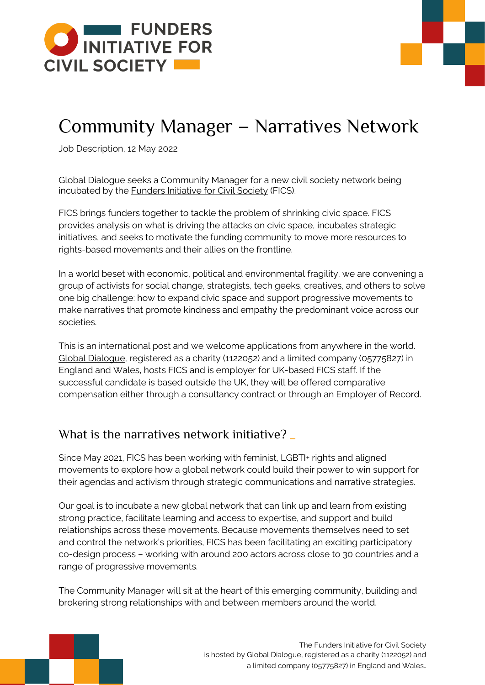

# Community Manager – Narratives Network

Job Description, 12 May 2022

Global Dialogue seeks a Community Manager for a new civil society network being incubated by the **Funders Initiative for Civil Society** (FICS).

FICS brings funders together to tackle the problem of shrinking civic space. FICS provides analysis on what is driving the attacks on civic space, incubates strategic initiatives, and seeks to motivate the funding community to move more resources to rights-based movements and their allies on the frontline.

In a world beset with economic, political and environmental fragility, we are convening a group of activists for social change, strategists, tech geeks, creatives, and others to solve one big challenge: how to expand civic space and support progressive movements to make narratives that promote kindness and empathy the predominant voice across our societies.

This is an international post and we welcome applications from anywhere in the world. [Global Dialogue,](http://global-dialogue.org/) registered as a charity (1122052) and a limited company (05775827) in England and Wales, hosts FICS and is employer for UK-based FICS staff. If the successful candidate is based outside the UK, they will be offered comparative compensation either through a consultancy contract or through an Employer of Record.

## What is the narratives network initiative?

Since May 2021, FICS has been working with feminist, LGBTI+ rights and aligned movements to explore how a global network could build their power to win support for their agendas and activism through strategic communications and narrative strategies.

Our goal is to incubate a new global network that can link up and learn from existing strong practice, facilitate learning and access to expertise, and support and build relationships across these movements. Because movements themselves need to set and control the network's priorities, FICS has been facilitating an exciting participatory co-design process – working with around 200 actors across close to 30 countries and a range of progressive movements.

The Community Manager will sit at the heart of this emerging community, building and brokering strong relationships with and between members around the world.



The Funders Initiative for Civil Society is hosted by [Global Dialogue,](http://global-dialogue.org/) registered as a charity (1122052) and a limited company (05775827) in England and Wales.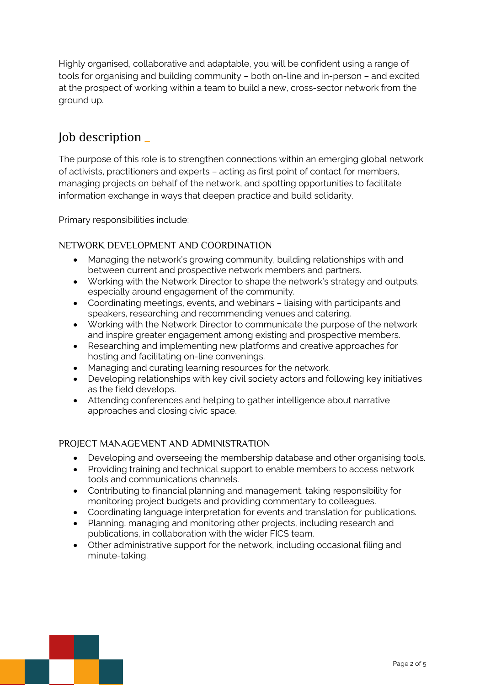Highly organised, collaborative and adaptable, you will be confident using a range of tools for organising and building community – both on-line and in-person – and excited at the prospect of working within a team to build a new, cross-sector network from the ground up.

## Job description \_

The purpose of this role is to strengthen connections within an emerging global network of activists, practitioners and experts – acting as first point of contact for members, managing projects on behalf of the network, and spotting opportunities to facilitate information exchange in ways that deepen practice and build solidarity.

Primary responsibilities include:

## NETWORK DEVELOPMENT AND COORDINATION

- Managing the network's growing community, building relationships with and between current and prospective network members and partners.
- Working with the Network Director to shape the network's strategy and outputs, especially around engagement of the community.
- Coordinating meetings, events, and webinars liaising with participants and speakers, researching and recommending venues and catering.
- Working with the Network Director to communicate the purpose of the network and inspire greater engagement among existing and prospective members.
- Researching and implementing new platforms and creative approaches for hosting and facilitating on-line convenings.
- Managing and curating learning resources for the network.
- Developing relationships with key civil society actors and following key initiatives as the field develops.
- Attending conferences and helping to gather intelligence about narrative approaches and closing civic space.

## PROJECT MANAGEMENT AND ADMINISTRATION

- Developing and overseeing the membership database and other organising tools.
- Providing training and technical support to enable members to access network tools and communications channels.
- Contributing to financial planning and management, taking responsibility for monitoring project budgets and providing commentary to colleagues.
- Coordinating language interpretation for events and translation for publications.
- Planning, managing and monitoring other projects, including research and publications, in collaboration with the wider FICS team.
- Other administrative support for the network, including occasional filing and minute-taking.

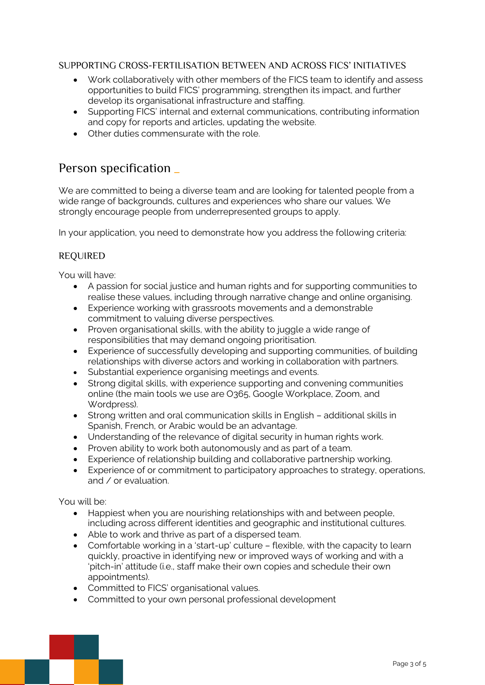## SUPPORTING CROSS-FERTILISATION BETWEEN AND ACROSS FICS' INITIATIVES

- Work collaboratively with other members of the FICS team to identify and assess opportunities to build FICS' programming, strengthen its impact, and further develop its organisational infrastructure and staffing.
- Supporting FICS' internal and external communications, contributing information and copy for reports and articles, updating the website.
- Other duties commensurate with the role.

## Person specification \_

We are committed to being a diverse team and are looking for talented people from a wide range of backgrounds, cultures and experiences who share our values. We strongly encourage people from underrepresented groups to apply.

In your application, you need to demonstrate how you address the following criteria:

## REQUIRED

You will have:

- A passion for social justice and human rights and for supporting communities to realise these values, including through narrative change and online organising.
- Experience working with grassroots movements and a demonstrable commitment to valuing diverse perspectives.
- Proven organisational skills, with the ability to juggle a wide range of responsibilities that may demand ongoing prioritisation.
- Experience of successfully developing and supporting communities, of building relationships with diverse actors and working in collaboration with partners.
- Substantial experience organising meetings and events.
- Strong digital skills, with experience supporting and convening communities online (the main tools we use are O365, Google Workplace, Zoom, and Wordpress).
- Strong written and oral communication skills in English additional skills in Spanish, French, or Arabic would be an advantage.
- Understanding of the relevance of digital security in human rights work.
- Proven ability to work both autonomously and as part of a team.
- Experience of relationship building and collaborative partnership working.
- Experience of or commitment to participatory approaches to strategy, operations, and / or evaluation.

#### You will be:

- Happiest when you are nourishing relationships with and between people, including across different identities and geographic and institutional cultures.
- Able to work and thrive as part of a dispersed team.
- Comfortable working in a 'start-up' culture flexible, with the capacity to learn quickly, proactive in identifying new or improved ways of working and with a 'pitch-in' attitude (i.e., staff make their own copies and schedule their own appointments).
- Committed to FICS' organisational values.
- Committed to your own personal professional development

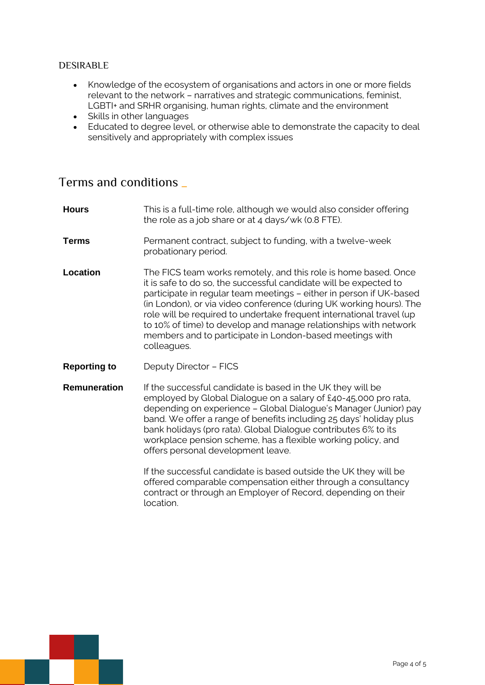## DESIRABLE

- Knowledge of the ecosystem of organisations and actors in one or more fields relevant to the network – narratives and strategic communications, feminist, LGBTI+ and SRHR organising, human rights, climate and the environment
- Skills in other languages
- Educated to degree level, or otherwise able to demonstrate the capacity to deal sensitively and appropriately with complex issues

## Terms and conditions \_

| <b>Hours</b>        | This is a full-time role, although we would also consider offering<br>the role as a job share or at 4 days/wk (0.8 FTE).                                                                                                                                                                                                                                                                                                                                                                                  |
|---------------------|-----------------------------------------------------------------------------------------------------------------------------------------------------------------------------------------------------------------------------------------------------------------------------------------------------------------------------------------------------------------------------------------------------------------------------------------------------------------------------------------------------------|
| Terms               | Permanent contract, subject to funding, with a twelve-week<br>probationary period.                                                                                                                                                                                                                                                                                                                                                                                                                        |
| <b>Location</b>     | The FICS team works remotely, and this role is home based. Once<br>it is safe to do so, the successful candidate will be expected to<br>participate in regular team meetings - either in person if UK-based<br>(in London), or via video conference (during UK working hours). The<br>role will be required to undertake frequent international travel (up<br>to 10% of time) to develop and manage relationships with network<br>members and to participate in London-based meetings with<br>colleagues. |
| <b>Reporting to</b> | Deputy Director - FICS                                                                                                                                                                                                                                                                                                                                                                                                                                                                                    |
| <b>Remuneration</b> | If the successful candidate is based in the UK they will be<br>employed by Global Dialogue on a salary of £40-45,000 pro rata,<br>depending on experience - Global Dialogue's Manager (Junior) pay<br>band. We offer a range of benefits including 25 days' holiday plus<br>bank holidays (pro rata). Global Dialogue contributes 6% to its<br>workplace pension scheme, has a flexible working policy, and<br>offers personal development leave.                                                         |
|                     | If the successful candidate is based outside the UK they will be<br>offered comparable compensation either through a consultancy<br>contract or through an Employer of Record, depending on their<br>location.                                                                                                                                                                                                                                                                                            |